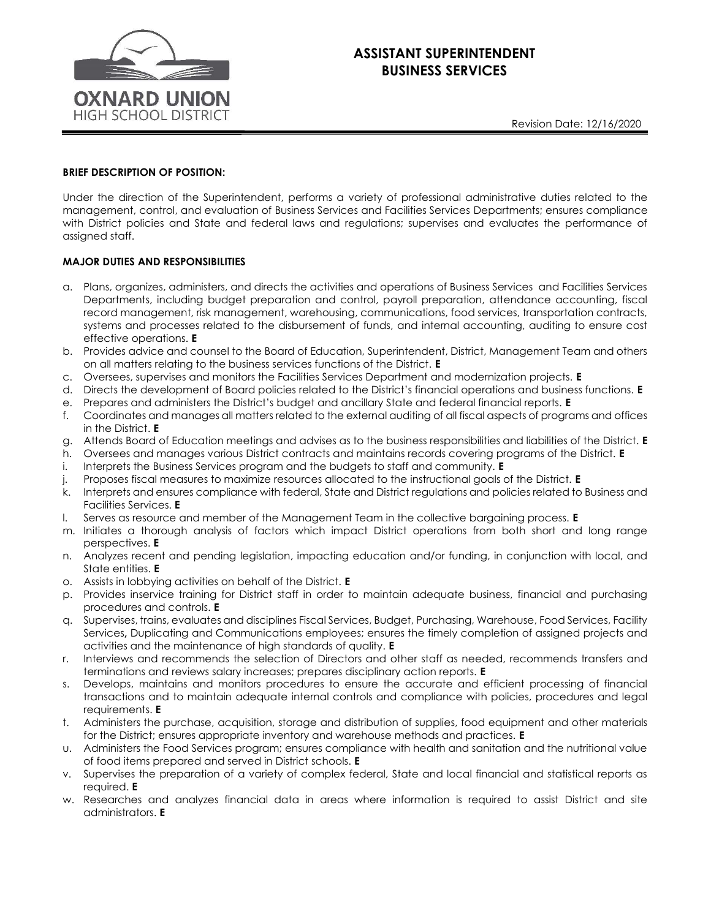

# ASSISTANT SUPERINTENDENT BUSINESS SERVICES

## BRIEF DESCRIPTION OF POSITION:

Under the direction of the Superintendent, performs a variety of professional administrative duties related to the management, control, and evaluation of Business Services and Facilities Services Departments; ensures compliance with District policies and State and federal laws and regulations; supervises and evaluates the performance of assigned staff.

## MAJOR DUTIES AND RESPONSIBILITIES

- a. Plans, organizes, administers, and directs the activities and operations of Business Services and Facilities Services Departments, including budget preparation and control, payroll preparation, attendance accounting, fiscal record management, risk management, warehousing, communications, food services, transportation contracts, systems and processes related to the disbursement of funds, and internal accounting, auditing to ensure cost effective operations. E
- b. Provides advice and counsel to the Board of Education, Superintendent, District, Management Team and others on all matters relating to the business services functions of the District. E
- c. Oversees, supervises and monitors the Facilities Services Department and modernization projects. E
- d. Directs the development of Board policies related to the District's financial operations and business functions. E
- e. Prepares and administers the District's budget and ancillary State and federal financial reports. E
- f. Coordinates and manages all matters related to the external auditing of all fiscal aspects of programs and offices in the District. E
- g. Attends Board of Education meetings and advises as to the business responsibilities and liabilities of the District. E
- h. Oversees and manages various District contracts and maintains records covering programs of the District. E
- i. Interprets the Business Services program and the budgets to staff and community. E
- j. Proposes fiscal measures to maximize resources allocated to the instructional goals of the District. E
- k. Interprets and ensures compliance with federal, State and District regulations and policies related to Business and Facilities Services. E
- l. Serves as resource and member of the Management Team in the collective bargaining process. E
- m. Initiates a thorough analysis of factors which impact District operations from both short and long range perspectives. E
- n. Analyzes recent and pending legislation, impacting education and/or funding, in conjunction with local, and State entities. **E**
- o. Assists in lobbying activities on behalf of the District. E
- p. Provides inservice training for District staff in order to maintain adequate business, financial and purchasing procedures and controls. E
- q. Supervises, trains, evaluates and disciplines Fiscal Services, Budget, Purchasing, Warehouse, Food Services, Facility Services, Duplicating and Communications employees; ensures the timely completion of assigned projects and activities and the maintenance of high standards of quality. E
- r. Interviews and recommends the selection of Directors and other staff as needed, recommends transfers and terminations and reviews salary increases; prepares disciplinary action reports. E
- s. Develops, maintains and monitors procedures to ensure the accurate and efficient processing of financial transactions and to maintain adequate internal controls and compliance with policies, procedures and legal requirements. E
- t. Administers the purchase, acquisition, storage and distribution of supplies, food equipment and other materials for the District; ensures appropriate inventory and warehouse methods and practices. **E**
- u. Administers the Food Services program; ensures compliance with health and sanitation and the nutritional value of food items prepared and served in District schools. E
- v. Supervises the preparation of a variety of complex federal, State and local financial and statistical reports as required. E
- w. Researches and analyzes financial data in areas where information is required to assist District and site administrators. E